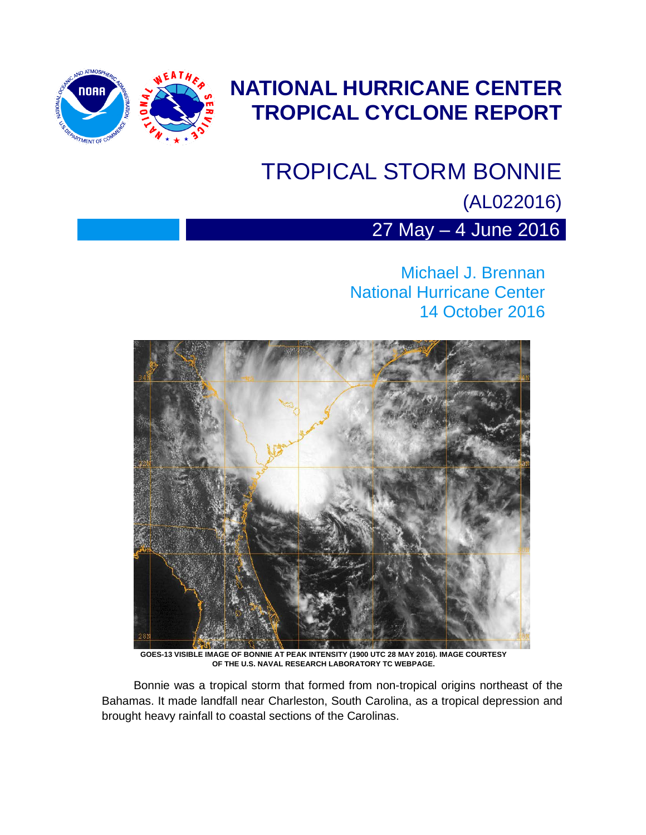

## **NATIONAL HURRICANE CENTER TROPICAL CYCLONE REPORT**

## TROPICAL STORM BONNIE

(AL022016)

27 May – 4 June 2016

Michael J. Brennan National Hurricane Center 14 October 2016



**GOES-13 VISIBLE IMAGE OF BONNIE AT PEAK INTENSITY (1900 UTC 28 MAY 2016). IMAGE COURTESY OF THE U.S. NAVAL RESEARCH LABORATORY TC WEBPAGE.** 

Bonnie was a tropical storm that formed from non-tropical origins northeast of the Bahamas. It made landfall near Charleston, South Carolina, as a tropical depression and brought heavy rainfall to coastal sections of the Carolinas.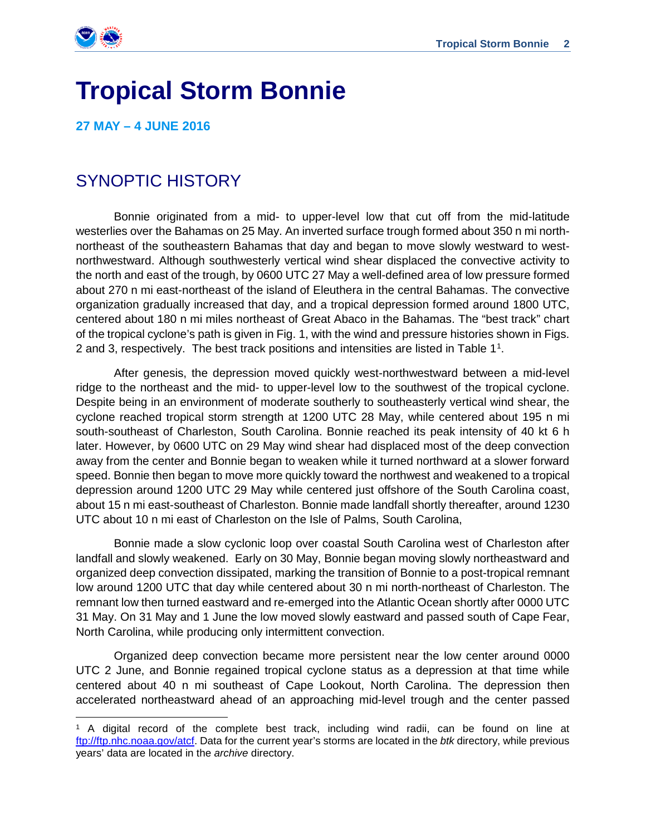

 $\overline{a}$ 

# **Tropical Storm Bonnie**

**27 MAY – 4 JUNE 2016**

## SYNOPTIC HISTORY

 Bonnie originated from a mid- to upper-level low that cut off from the mid-latitude westerlies over the Bahamas on 25 May. An inverted surface trough formed about 350 n mi northnortheast of the southeastern Bahamas that day and began to move slowly westward to westnorthwestward. Although southwesterly vertical wind shear displaced the convective activity to the north and east of the trough, by 0600 UTC 27 May a well-defined area of low pressure formed about 270 n mi east-northeast of the island of Eleuthera in the central Bahamas. The convective organization gradually increased that day, and a tropical depression formed around 1800 UTC, centered about 180 n mi miles northeast of Great Abaco in the Bahamas. The "best track" chart of the tropical cyclone's path is given in Fig. 1, with the wind and pressure histories shown in Figs. 2 and 3, respectively. The best track positions and intensities are listed in Table [1](#page-1-0)<sup>1</sup>.

After genesis, the depression moved quickly west-northwestward between a mid-level ridge to the northeast and the mid- to upper-level low to the southwest of the tropical cyclone. Despite being in an environment of moderate southerly to southeasterly vertical wind shear, the cyclone reached tropical storm strength at 1200 UTC 28 May, while centered about 195 n mi south-southeast of Charleston, South Carolina. Bonnie reached its peak intensity of 40 kt 6 h later. However, by 0600 UTC on 29 May wind shear had displaced most of the deep convection away from the center and Bonnie began to weaken while it turned northward at a slower forward speed. Bonnie then began to move more quickly toward the northwest and weakened to a tropical depression around 1200 UTC 29 May while centered just offshore of the South Carolina coast, about 15 n mi east-southeast of Charleston. Bonnie made landfall shortly thereafter, around 1230 UTC about 10 n mi east of Charleston on the Isle of Palms, South Carolina,

Bonnie made a slow cyclonic loop over coastal South Carolina west of Charleston after landfall and slowly weakened. Early on 30 May, Bonnie began moving slowly northeastward and organized deep convection dissipated, marking the transition of Bonnie to a post-tropical remnant low around 1200 UTC that day while centered about 30 n mi north-northeast of Charleston. The remnant low then turned eastward and re-emerged into the Atlantic Ocean shortly after 0000 UTC 31 May. On 31 May and 1 June the low moved slowly eastward and passed south of Cape Fear, North Carolina, while producing only intermittent convection.

Organized deep convection became more persistent near the low center around 0000 UTC 2 June, and Bonnie regained tropical cyclone status as a depression at that time while centered about 40 n mi southeast of Cape Lookout, North Carolina. The depression then accelerated northeastward ahead of an approaching mid-level trough and the center passed

<span id="page-1-0"></span><sup>1</sup> A digital record of the complete best track, including wind radii, can be found on line at [ftp://ftp.nhc.noaa.gov/atcf.](ftp://ftp.nhc.noaa.gov/atcf) Data for the current year's storms are located in the *btk* directory, while previous years' data are located in the *archive* directory.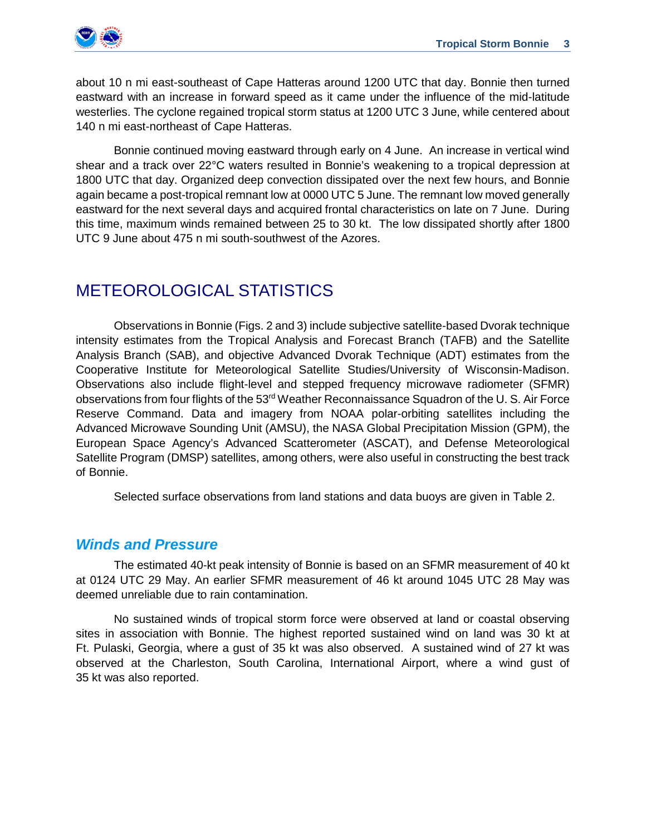

about 10 n mi east-southeast of Cape Hatteras around 1200 UTC that day. Bonnie then turned eastward with an increase in forward speed as it came under the influence of the mid-latitude westerlies. The cyclone regained tropical storm status at 1200 UTC 3 June, while centered about 140 n mi east-northeast of Cape Hatteras.

Bonnie continued moving eastward through early on 4 June. An increase in vertical wind shear and a track over 22°C waters resulted in Bonnie's weakening to a tropical depression at 1800 UTC that day. Organized deep convection dissipated over the next few hours, and Bonnie again became a post-tropical remnant low at 0000 UTC 5 June. The remnant low moved generally eastward for the next several days and acquired frontal characteristics on late on 7 June. During this time, maximum winds remained between 25 to 30 kt. The low dissipated shortly after 1800 UTC 9 June about 475 n mi south-southwest of the Azores.

## METEOROLOGICAL STATISTICS

Observations in Bonnie (Figs. 2 and 3) include subjective satellite-based Dvorak technique intensity estimates from the Tropical Analysis and Forecast Branch (TAFB) and the Satellite Analysis Branch (SAB), and objective Advanced Dvorak Technique (ADT) estimates from the Cooperative Institute for Meteorological Satellite Studies/University of Wisconsin-Madison. Observations also include flight-level and stepped frequency microwave radiometer (SFMR) observations from four flights of the  $53<sup>rd</sup>$  Weather Reconnaissance Squadron of the U. S. Air Force Reserve Command. Data and imagery from NOAA polar-orbiting satellites including the Advanced Microwave Sounding Unit (AMSU), the NASA Global Precipitation Mission (GPM), the European Space Agency's Advanced Scatterometer (ASCAT), and Defense Meteorological Satellite Program (DMSP) satellites, among others, were also useful in constructing the best track of Bonnie.

Selected surface observations from land stations and data buoys are given in Table 2.

#### *Winds and Pressure*

The estimated 40-kt peak intensity of Bonnie is based on an SFMR measurement of 40 kt at 0124 UTC 29 May. An earlier SFMR measurement of 46 kt around 1045 UTC 28 May was deemed unreliable due to rain contamination.

No sustained winds of tropical storm force were observed at land or coastal observing sites in association with Bonnie. The highest reported sustained wind on land was 30 kt at Ft. Pulaski, Georgia, where a gust of 35 kt was also observed. A sustained wind of 27 kt was observed at the Charleston, South Carolina, International Airport, where a wind gust of 35 kt was also reported.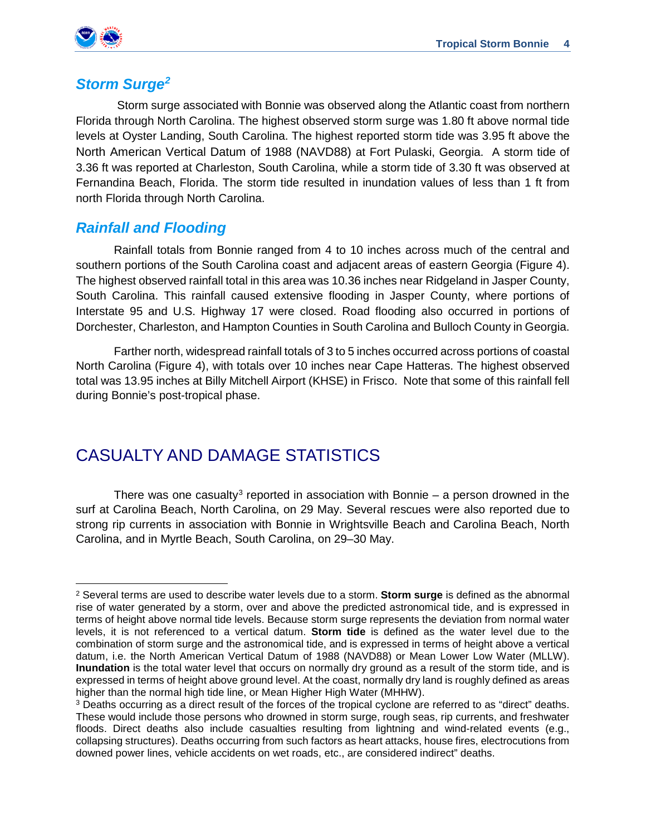

#### *Storm Surge[2](#page-3-0)*

Storm surge associated with Bonnie was observed along the Atlantic coast from northern Florida through North Carolina. The highest observed storm surge was 1.80 ft above normal tide levels at Oyster Landing, South Carolina. The highest reported storm tide was 3.95 ft above the North American Vertical Datum of 1988 (NAVD88) at Fort Pulaski, Georgia. A storm tide of 3.36 ft was reported at Charleston, South Carolina, while a storm tide of 3.30 ft was observed at Fernandina Beach, Florida. The storm tide resulted in inundation values of less than 1 ft from north Florida through North Carolina.

#### *Rainfall and Flooding*

Rainfall totals from Bonnie ranged from 4 to 10 inches across much of the central and southern portions of the South Carolina coast and adjacent areas of eastern Georgia (Figure 4). The highest observed rainfall total in this area was 10.36 inches near Ridgeland in Jasper County, South Carolina. This rainfall caused extensive flooding in Jasper County, where portions of Interstate 95 and U.S. Highway 17 were closed. Road flooding also occurred in portions of Dorchester, Charleston, and Hampton Counties in South Carolina and Bulloch County in Georgia.

Farther north, widespread rainfall totals of 3 to 5 inches occurred across portions of coastal North Carolina (Figure 4), with totals over 10 inches near Cape Hatteras. The highest observed total was 13.95 inches at Billy Mitchell Airport (KHSE) in Frisco. Note that some of this rainfall fell during Bonnie's post-tropical phase.

### CASUALTY AND DAMAGE STATISTICS

There was one casualty<sup>[3](#page-3-1)</sup> reported in association with Bonnie – a person drowned in the surf at Carolina Beach, North Carolina, on 29 May. Several rescues were also reported due to strong rip currents in association with Bonnie in Wrightsville Beach and Carolina Beach, North Carolina, and in Myrtle Beach, South Carolina, on 29–30 May.

<span id="page-3-0"></span>l <sup>2</sup> Several terms are used to describe water levels due to a storm. **Storm surge** is defined as the abnormal rise of water generated by a storm, over and above the predicted astronomical tide, and is expressed in terms of height above normal tide levels. Because storm surge represents the deviation from normal water levels, it is not referenced to a vertical datum. **Storm tide** is defined as the water level due to the combination of storm surge and the astronomical tide, and is expressed in terms of height above a vertical datum, i.e. the North American Vertical Datum of 1988 (NAVD88) or Mean Lower Low Water (MLLW). **Inundation** is the total water level that occurs on normally dry ground as a result of the storm tide, and is expressed in terms of height above ground level. At the coast, normally dry land is roughly defined as areas higher than the normal high tide line, or Mean Higher High Water (MHHW).

<span id="page-3-1"></span><sup>3</sup> Deaths occurring as a direct result of the forces of the tropical cyclone are referred to as "direct" deaths. These would include those persons who drowned in storm surge, rough seas, rip currents, and freshwater floods. Direct deaths also include casualties resulting from lightning and wind-related events (e.g., collapsing structures). Deaths occurring from such factors as heart attacks, house fires, electrocutions from downed power lines, vehicle accidents on wet roads, etc., are considered indirect" deaths.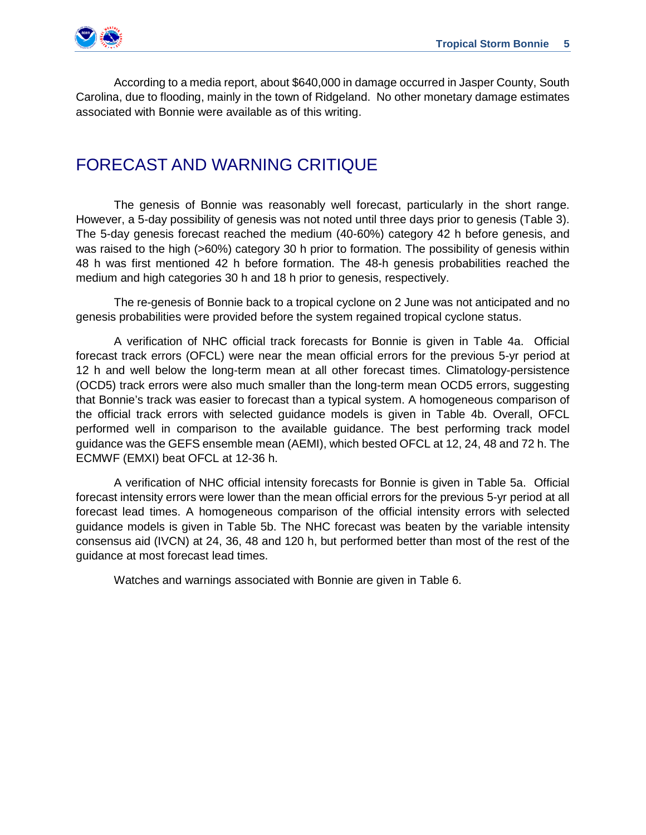

According to a media report, about \$640,000 in damage occurred in Jasper County, South Carolina, due to flooding, mainly in the town of Ridgeland. No other monetary damage estimates associated with Bonnie were available as of this writing.

### FORECAST AND WARNING CRITIQUE

The genesis of Bonnie was reasonably well forecast, particularly in the short range. However, a 5-day possibility of genesis was not noted until three days prior to genesis (Table 3). The 5-day genesis forecast reached the medium (40-60%) category 42 h before genesis, and was raised to the high (>60%) category 30 h prior to formation. The possibility of genesis within 48 h was first mentioned 42 h before formation. The 48-h genesis probabilities reached the medium and high categories 30 h and 18 h prior to genesis, respectively.

The re-genesis of Bonnie back to a tropical cyclone on 2 June was not anticipated and no genesis probabilities were provided before the system regained tropical cyclone status.

A verification of NHC official track forecasts for Bonnie is given in Table 4a. Official forecast track errors (OFCL) were near the mean official errors for the previous 5-yr period at 12 h and well below the long-term mean at all other forecast times. Climatology-persistence (OCD5) track errors were also much smaller than the long-term mean OCD5 errors, suggesting that Bonnie's track was easier to forecast than a typical system. A homogeneous comparison of the official track errors with selected guidance models is given in Table 4b. Overall, OFCL performed well in comparison to the available guidance. The best performing track model guidance was the GEFS ensemble mean (AEMI), which bested OFCL at 12, 24, 48 and 72 h. The ECMWF (EMXI) beat OFCL at 12-36 h.

A verification of NHC official intensity forecasts for Bonnie is given in Table 5a. Official forecast intensity errors were lower than the mean official errors for the previous 5-yr period at all forecast lead times. A homogeneous comparison of the official intensity errors with selected guidance models is given in Table 5b. The NHC forecast was beaten by the variable intensity consensus aid (IVCN) at 24, 36, 48 and 120 h, but performed better than most of the rest of the guidance at most forecast lead times.

Watches and warnings associated with Bonnie are given in Table 6.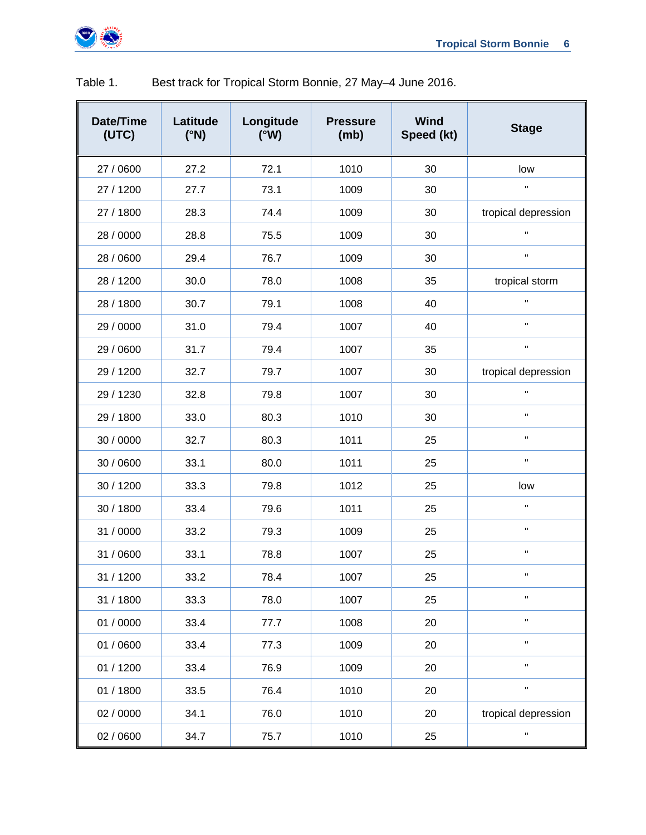

| Date/Time<br>(UTC) | Latitude<br>$(^{\circ}N)$ | Longitude<br>(°W) | <b>Pressure</b><br>(mb) | <b>Wind</b><br>Speed (kt) | <b>Stage</b>         |
|--------------------|---------------------------|-------------------|-------------------------|---------------------------|----------------------|
| 27 / 0600          | 27.2                      | 72.1              | 1010                    | 30                        | low                  |
| 27 / 1200          | 27.7                      | 73.1              | 1009                    | 30                        | $\mathbf H$          |
| 27 / 1800          | 28.3                      | 74.4              | 1009                    | 30                        | tropical depression  |
| 28 / 0000          | 28.8                      | 75.5              | 1009                    | 30                        | $\mathbf{H}$         |
| 28 / 0600          | 29.4                      | 76.7              | 1009                    | 30                        | $\mathbf{H}$         |
| 28 / 1200          | 30.0                      | 78.0              | 1008                    | 35                        | tropical storm       |
| 28 / 1800          | 30.7                      | 79.1              | 1008                    | 40                        | $\mathbf H$          |
| 29 / 0000          | 31.0                      | 79.4              | 1007                    | 40                        | $\mathbf H$          |
| 29 / 0600          | 31.7                      | 79.4              | 1007                    | 35                        | $\mathbf H$          |
| 29 / 1200          | 32.7                      | 79.7              | 1007                    | 30                        | tropical depression  |
| 29 / 1230          | 32.8                      | 79.8              | 1007                    | 30                        | $\mathbf{H}$         |
| 29 / 1800          | 33.0                      | 80.3              | 1010                    | 30                        | $\mathbf{H}$         |
| 30 / 0000          | 32.7                      | 80.3              | 1011                    | 25                        | $\mathbf H$          |
| 30 / 0600          | 33.1                      | 80.0              | 1011                    | 25                        | $\mathbf{H}$         |
| 30 / 1200          | 33.3                      | 79.8              | 1012                    | 25                        | low                  |
| 30 / 1800          | 33.4                      | 79.6              | 1011                    | 25                        | $\mathbf{H}$         |
| 31 / 0000          | 33.2                      | 79.3              | 1009                    | 25                        | $\mathbf{H}$         |
| 31 / 0600          | 33.1                      | 78.8              | 1007                    | 25                        | $\mathbf H$          |
| 31 / 1200          | 33.2                      | 78.4              | 1007                    | 25                        | $\mathbf H$          |
| 31 / 1800          | 33.3                      | 78.0              | 1007                    | 25                        | $\pmb{\mathsf{H}}$   |
| 01 / 0000          | 33.4                      | 77.7              | 1008                    | 20                        | $\pmb{\mathsf{H}}$   |
| 01 / 0600          | 33.4                      | 77.3              | 1009                    | 20                        | $\pmb{\mathfrak{m}}$ |
| 01 / 1200          | 33.4                      | 76.9              | 1009                    | 20                        | $\mathbf{u}$         |
| 01 / 1800          | 33.5                      | 76.4              | 1010                    | 20                        | $\mathbf H$          |
| 02 / 0000          | 34.1                      | 76.0              | 1010                    | 20                        | tropical depression  |
| 02 / 0600          | 34.7                      | 75.7              | 1010                    | 25                        | $\blacksquare$       |

#### Table 1. Best track for Tropical Storm Bonnie, 27 May–4 June 2016.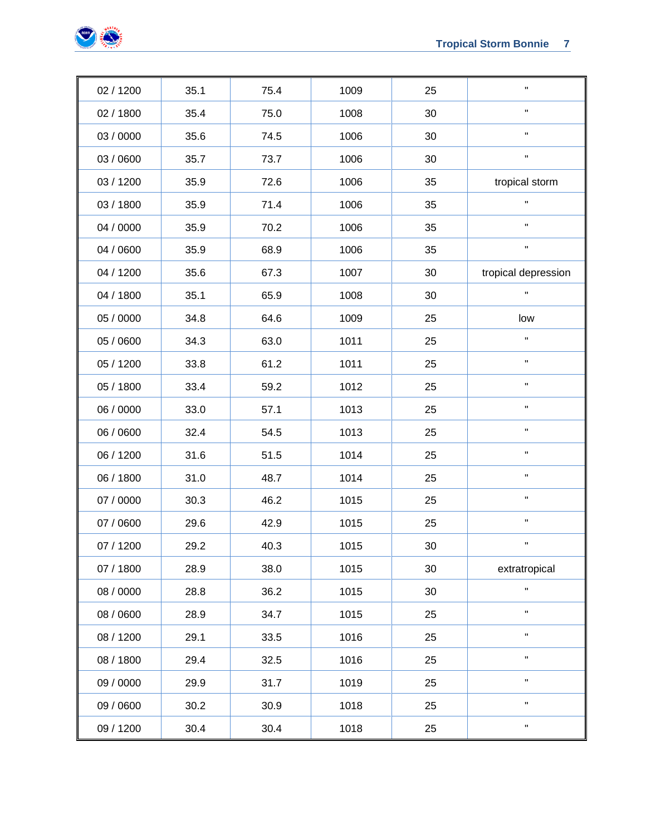

| 02 / 1200 | 35.1 | 75.4 | 1009 | 25 | п.                  |
|-----------|------|------|------|----|---------------------|
| 02 / 1800 | 35.4 | 75.0 | 1008 | 30 | $\mathbf{H}$        |
| 03 / 0000 | 35.6 | 74.5 | 1006 | 30 | $\mathbf{H}$        |
| 03 / 0600 | 35.7 | 73.7 | 1006 | 30 | $\mathbf H$         |
| 03 / 1200 | 35.9 | 72.6 | 1006 | 35 | tropical storm      |
| 03 / 1800 | 35.9 | 71.4 | 1006 | 35 | $\mathbf{H}$        |
| 04 / 0000 | 35.9 | 70.2 | 1006 | 35 | $\mathbf{H}$        |
| 04 / 0600 | 35.9 | 68.9 | 1006 | 35 | $\mathbf H$         |
| 04 / 1200 | 35.6 | 67.3 | 1007 | 30 | tropical depression |
| 04 / 1800 | 35.1 | 65.9 | 1008 | 30 | $\mathbf H$         |
| 05 / 0000 | 34.8 | 64.6 | 1009 | 25 | low                 |
| 05 / 0600 | 34.3 | 63.0 | 1011 | 25 | $\mathbf{H}$        |
| 05 / 1200 | 33.8 | 61.2 | 1011 | 25 | $\mathbf{H}$        |
| 05 / 1800 | 33.4 | 59.2 | 1012 | 25 | $\mathbf H$         |
| 06 / 0000 | 33.0 | 57.1 | 1013 | 25 | $\mathbf H$         |
| 06 / 0600 | 32.4 | 54.5 | 1013 | 25 | $\mathbf H$         |
| 06 / 1200 | 31.6 | 51.5 | 1014 | 25 | $\mathbf H$         |
| 06 / 1800 | 31.0 | 48.7 | 1014 | 25 | н.                  |
| 07 / 0000 | 30.3 | 46.2 | 1015 | 25 | $\mathbf{H}$        |
| 07 / 0600 | 29.6 | 42.9 | 1015 | 25 | $\mathbf H$         |
| 07 / 1200 | 29.2 | 40.3 | 1015 | 30 | н                   |
| 07 / 1800 | 28.9 | 38.0 | 1015 | 30 | extratropical       |
| 08 / 0000 | 28.8 | 36.2 | 1015 | 30 | $\mathbf{H}$        |
| 08 / 0600 | 28.9 | 34.7 | 1015 | 25 | $\mathbf{H}$        |
| 08 / 1200 | 29.1 | 33.5 | 1016 | 25 | $\mathbf{H}$        |
| 08 / 1800 | 29.4 | 32.5 | 1016 | 25 | н.                  |
| 09 / 0000 | 29.9 | 31.7 | 1019 | 25 | $\mathbf{H}$        |
| 09 / 0600 | 30.2 | 30.9 | 1018 | 25 | $\mathbf{H}$        |
| 09 / 1200 | 30.4 | 30.4 | 1018 | 25 | н.                  |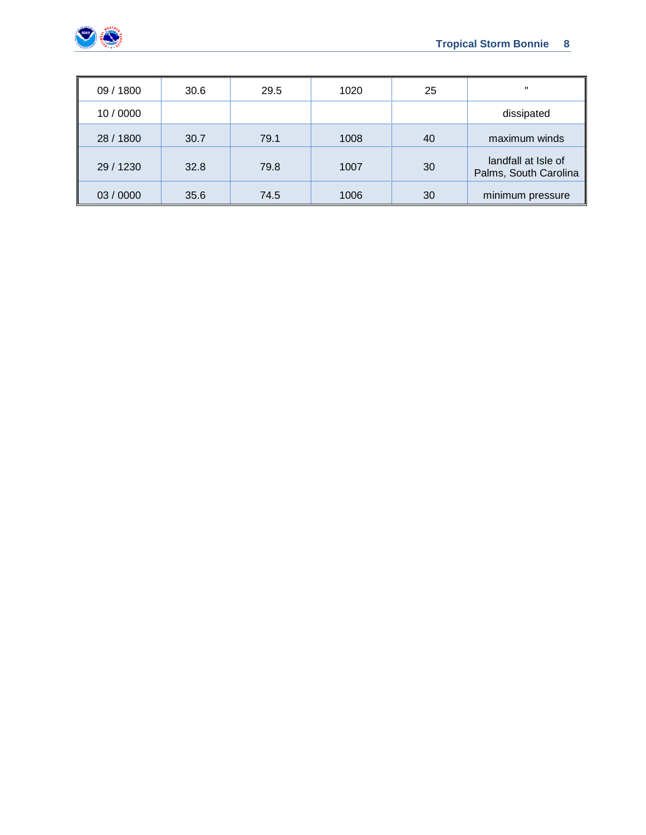

| 09 / 1800 | 30.6 | 29.5 | 1020 | 25 |                                              |
|-----------|------|------|------|----|----------------------------------------------|
| 10/0000   |      |      |      |    | dissipated                                   |
| 28 / 1800 | 30.7 | 79.1 | 1008 | 40 | maximum winds                                |
| 29 / 1230 | 32.8 | 79.8 | 1007 | 30 | landfall at Isle of<br>Palms, South Carolina |
| 03/0000   | 35.6 | 74.5 | 1006 | 30 | minimum pressure                             |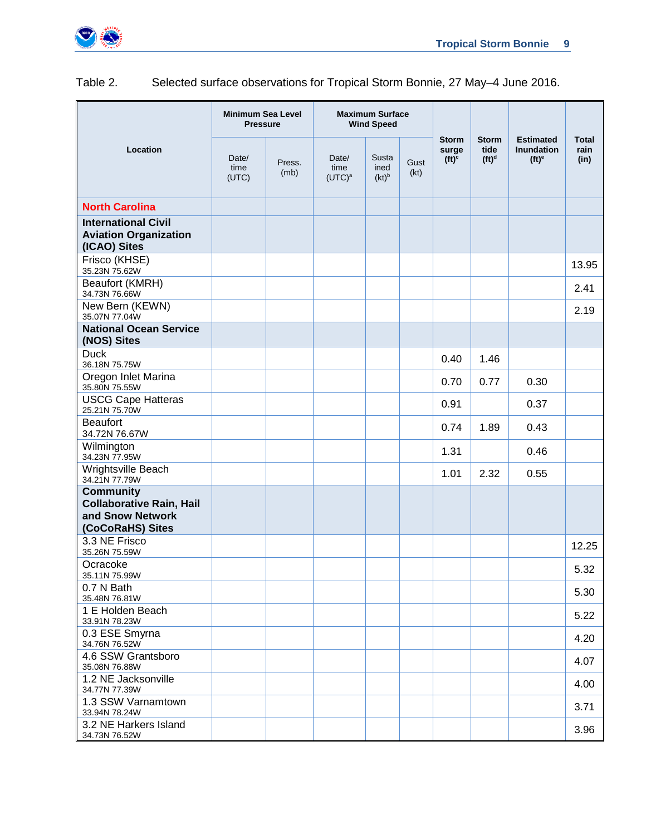

#### Table 2. Selected surface observations for Tropical Storm Bonnie, 27 May–4 June 2016.

|                                                                                             | <b>Minimum Sea Level</b><br><b>Pressure</b> |                |                            | <b>Maximum Surface</b><br><b>Wind Speed</b> |              |                                                         |                                  |                                                                         |                              |
|---------------------------------------------------------------------------------------------|---------------------------------------------|----------------|----------------------------|---------------------------------------------|--------------|---------------------------------------------------------|----------------------------------|-------------------------------------------------------------------------|------------------------------|
| Location                                                                                    | Date/<br>time<br>(UTC)                      | Press.<br>(mb) | Date/<br>time<br>$(UTC)^a$ | Susta<br>ined<br>$(kt)^b$                   | Gust<br>(kt) | <b>Storm</b><br>surge<br>(f <sup>c</sup> ) <sup>c</sup> | <b>Storm</b><br>tide<br>$(ft)^d$ | <b>Estimated</b><br><b>Inundation</b><br>(f <sup>t</sup> ) <sup>e</sup> | <b>Total</b><br>rain<br>(in) |
| <b>North Carolina</b>                                                                       |                                             |                |                            |                                             |              |                                                         |                                  |                                                                         |                              |
| <b>International Civil</b><br><b>Aviation Organization</b><br>(ICAO) Sites                  |                                             |                |                            |                                             |              |                                                         |                                  |                                                                         |                              |
| Frisco (KHSE)<br>35.23N 75.62W                                                              |                                             |                |                            |                                             |              |                                                         |                                  |                                                                         | 13.95                        |
| Beaufort (KMRH)<br>34.73N 76.66W                                                            |                                             |                |                            |                                             |              |                                                         |                                  |                                                                         | 2.41                         |
| New Bern (KEWN)<br>35.07N 77.04W                                                            |                                             |                |                            |                                             |              |                                                         |                                  |                                                                         | 2.19                         |
| <b>National Ocean Service</b><br>(NOS) Sites                                                |                                             |                |                            |                                             |              |                                                         |                                  |                                                                         |                              |
| <b>Duck</b><br>36.18N 75.75W                                                                |                                             |                |                            |                                             |              | 0.40                                                    | 1.46                             |                                                                         |                              |
| Oregon Inlet Marina<br>35.80N 75.55W                                                        |                                             |                |                            |                                             |              | 0.70                                                    | 0.77                             | 0.30                                                                    |                              |
| <b>USCG Cape Hatteras</b><br>25.21N 75.70W                                                  |                                             |                |                            |                                             |              | 0.91                                                    |                                  | 0.37                                                                    |                              |
| <b>Beaufort</b><br>34.72N 76.67W                                                            |                                             |                |                            |                                             |              | 0.74                                                    | 1.89                             | 0.43                                                                    |                              |
| Wilmington<br>34.23N 77.95W                                                                 |                                             |                |                            |                                             |              | 1.31                                                    |                                  | 0.46                                                                    |                              |
| Wrightsville Beach<br>34.21N 77.79W                                                         |                                             |                |                            |                                             |              | 1.01                                                    | 2.32                             | 0.55                                                                    |                              |
| <b>Community</b><br><b>Collaborative Rain, Hail</b><br>and Snow Network<br>(CoCoRaHS) Sites |                                             |                |                            |                                             |              |                                                         |                                  |                                                                         |                              |
| 3.3 NE Frisco<br>35.26N 75.59W                                                              |                                             |                |                            |                                             |              |                                                         |                                  |                                                                         | 12.25                        |
| Ocracoke<br>35.11N 75.99W                                                                   |                                             |                |                            |                                             |              |                                                         |                                  |                                                                         | 5.32                         |
| 0.7 N Bath<br>35.48N 76.81W                                                                 |                                             |                |                            |                                             |              |                                                         |                                  |                                                                         | 5.30                         |
| 1 E Holden Beach<br>33.91N 78.23W                                                           |                                             |                |                            |                                             |              |                                                         |                                  |                                                                         | 5.22                         |
| 0.3 ESE Smyrna<br>34.76N 76.52W                                                             |                                             |                |                            |                                             |              |                                                         |                                  |                                                                         | 4.20                         |
| 4.6 SSW Grantsboro<br>35.08N 76.88W                                                         |                                             |                |                            |                                             |              |                                                         |                                  |                                                                         | 4.07                         |
| 1.2 NE Jacksonville<br>34.77N 77.39W                                                        |                                             |                |                            |                                             |              |                                                         |                                  |                                                                         | 4.00                         |
| 1.3 SSW Varnamtown<br>33.94N 78.24W                                                         |                                             |                |                            |                                             |              |                                                         |                                  |                                                                         | 3.71                         |
| 3.2 NE Harkers Island<br>34.73N 76.52W                                                      |                                             |                |                            |                                             |              |                                                         |                                  |                                                                         | 3.96                         |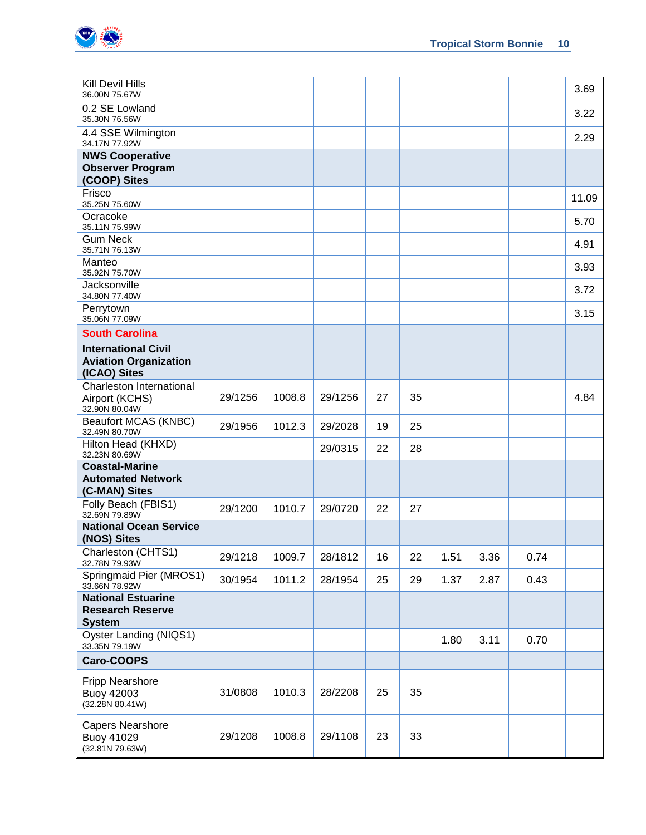

| <b>Kill Devil Hills</b><br>36.00N 75.67W                                   |         |        |         |    |    |      |      |      | 3.69  |
|----------------------------------------------------------------------------|---------|--------|---------|----|----|------|------|------|-------|
| 0.2 SE Lowland<br>35.30N 76.56W                                            |         |        |         |    |    |      |      |      | 3.22  |
| 4.4 SSE Wilmington<br>34.17N 77.92W                                        |         |        |         |    |    |      |      |      | 2.29  |
| <b>NWS Cooperative</b>                                                     |         |        |         |    |    |      |      |      |       |
| <b>Observer Program</b><br>(COOP) Sites                                    |         |        |         |    |    |      |      |      |       |
| Frisco<br>35.25N 75.60W                                                    |         |        |         |    |    |      |      |      | 11.09 |
| Ocracoke<br>35.11N 75.99W                                                  |         |        |         |    |    |      |      |      | 5.70  |
| <b>Gum Neck</b><br>35.71N 76.13W                                           |         |        |         |    |    |      |      |      | 4.91  |
| Manteo<br>35.92N 75.70W                                                    |         |        |         |    |    |      |      |      | 3.93  |
| Jacksonville<br>34.80N 77.40W                                              |         |        |         |    |    |      |      |      | 3.72  |
| Perrytown<br>35.06N 77.09W                                                 |         |        |         |    |    |      |      |      | 3.15  |
| <b>South Carolina</b>                                                      |         |        |         |    |    |      |      |      |       |
| <b>International Civil</b><br><b>Aviation Organization</b><br>(ICAO) Sites |         |        |         |    |    |      |      |      |       |
| Charleston International<br>Airport (KCHS)<br>32.90N 80.04W                | 29/1256 | 1008.8 | 29/1256 | 27 | 35 |      |      |      | 4.84  |
| Beaufort MCAS (KNBC)<br>32.49N 80.70W                                      | 29/1956 | 1012.3 | 29/2028 | 19 | 25 |      |      |      |       |
| Hilton Head (KHXD)<br>32.23N 80.69W                                        |         |        | 29/0315 | 22 | 28 |      |      |      |       |
| <b>Coastal-Marine</b><br><b>Automated Network</b><br>(C-MAN) Sites         |         |        |         |    |    |      |      |      |       |
| Folly Beach (FBIS1)<br>32.69N 79.89W                                       | 29/1200 | 1010.7 | 29/0720 | 22 | 27 |      |      |      |       |
| <b>National Ocean Service</b><br>(NOS) Sites                               |         |        |         |    |    |      |      |      |       |
| Charleston (CHTS1)<br>32.78N 79.93W                                        | 29/1218 | 1009.7 | 28/1812 | 16 | 22 | 1.51 | 3.36 | 0.74 |       |
| Springmaid Pier (MROS1)<br>33.66N 78.92W                                   | 30/1954 | 1011.2 | 28/1954 | 25 | 29 | 1.37 | 2.87 | 0.43 |       |
| <b>National Estuarine</b><br><b>Research Reserve</b><br><b>System</b>      |         |        |         |    |    |      |      |      |       |
| Oyster Landing (NIQS1)<br>33.35N 79.19W                                    |         |        |         |    |    | 1.80 | 3.11 | 0.70 |       |
| Caro-COOPS                                                                 |         |        |         |    |    |      |      |      |       |
| <b>Fripp Nearshore</b><br><b>Buoy 42003</b><br>(32.28N 80.41W)             | 31/0808 | 1010.3 | 28/2208 | 25 | 35 |      |      |      |       |
| <b>Capers Nearshore</b><br><b>Buoy 41029</b><br>(32.81N 79.63W)            | 29/1208 | 1008.8 | 29/1108 | 23 | 33 |      |      |      |       |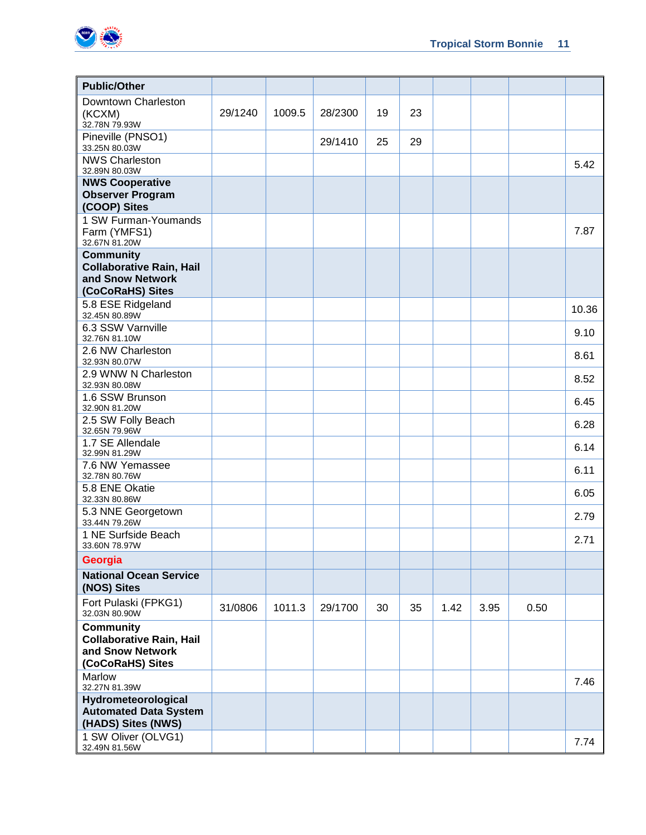

| <b>Public/Other</b>                                   |         |        |         |    |    |      |      |      |       |
|-------------------------------------------------------|---------|--------|---------|----|----|------|------|------|-------|
| Downtown Charleston                                   |         |        |         |    |    |      |      |      |       |
| (KCXM)<br>32.78N 79.93W                               | 29/1240 | 1009.5 | 28/2300 | 19 | 23 |      |      |      |       |
| Pineville (PNSO1)<br>33.25N 80.03W                    |         |        | 29/1410 | 25 | 29 |      |      |      |       |
| <b>NWS Charleston</b><br>32.89N 80.03W                |         |        |         |    |    |      |      |      | 5.42  |
| <b>NWS Cooperative</b>                                |         |        |         |    |    |      |      |      |       |
| <b>Observer Program</b><br>(COOP) Sites               |         |        |         |    |    |      |      |      |       |
| 1 SW Furman-Youmands<br>Farm (YMFS1)<br>32.67N 81.20W |         |        |         |    |    |      |      |      | 7.87  |
| <b>Community</b>                                      |         |        |         |    |    |      |      |      |       |
| <b>Collaborative Rain, Hail</b>                       |         |        |         |    |    |      |      |      |       |
| and Snow Network                                      |         |        |         |    |    |      |      |      |       |
| (CoCoRaHS) Sites                                      |         |        |         |    |    |      |      |      |       |
| 5.8 ESE Ridgeland<br>32.45N 80.89W                    |         |        |         |    |    |      |      |      | 10.36 |
| 6.3 SSW Varnville<br>32.76N 81.10W                    |         |        |         |    |    |      |      |      | 9.10  |
| 2.6 NW Charleston<br>32.93N 80.07W                    |         |        |         |    |    |      |      |      | 8.61  |
| 2.9 WNW N Charleston<br>32.93N 80.08W                 |         |        |         |    |    |      |      |      | 8.52  |
| 1.6 SSW Brunson<br>32.90N 81.20W                      |         |        |         |    |    |      |      |      | 6.45  |
| 2.5 SW Folly Beach<br>32.65N 79.96W                   |         |        |         |    |    |      |      |      | 6.28  |
| 1.7 SE Allendale<br>32.99N 81.29W                     |         |        |         |    |    |      |      |      | 6.14  |
| 7.6 NW Yemassee<br>32.78N 80.76W                      |         |        |         |    |    |      |      |      | 6.11  |
| 5.8 ENE Okatie<br>32.33N 80.86W                       |         |        |         |    |    |      |      |      | 6.05  |
| 5.3 NNE Georgetown<br>33.44N 79.26W                   |         |        |         |    |    |      |      |      | 2.79  |
| 1 NE Surfside Beach<br>33.60N 78.97W                  |         |        |         |    |    |      |      |      | 2.71  |
| Georgia                                               |         |        |         |    |    |      |      |      |       |
| <b>National Ocean Service</b><br>(NOS) Sites          |         |        |         |    |    |      |      |      |       |
| Fort Pulaski (FPKG1)<br>32.03N 80.90W                 | 31/0806 | 1011.3 | 29/1700 | 30 | 35 | 1.42 | 3.95 | 0.50 |       |
| <b>Community</b>                                      |         |        |         |    |    |      |      |      |       |
| <b>Collaborative Rain, Hail</b><br>and Snow Network   |         |        |         |    |    |      |      |      |       |
| (CoCoRaHS) Sites                                      |         |        |         |    |    |      |      |      |       |
| Marlow<br>32.27N 81.39W                               |         |        |         |    |    |      |      |      | 7.46  |
| Hydrometeorological                                   |         |        |         |    |    |      |      |      |       |
| <b>Automated Data System</b><br>(HADS) Sites (NWS)    |         |        |         |    |    |      |      |      |       |
| 1 SW Oliver (OLVG1)<br>32.49N 81.56W                  |         |        |         |    |    |      |      |      | 7.74  |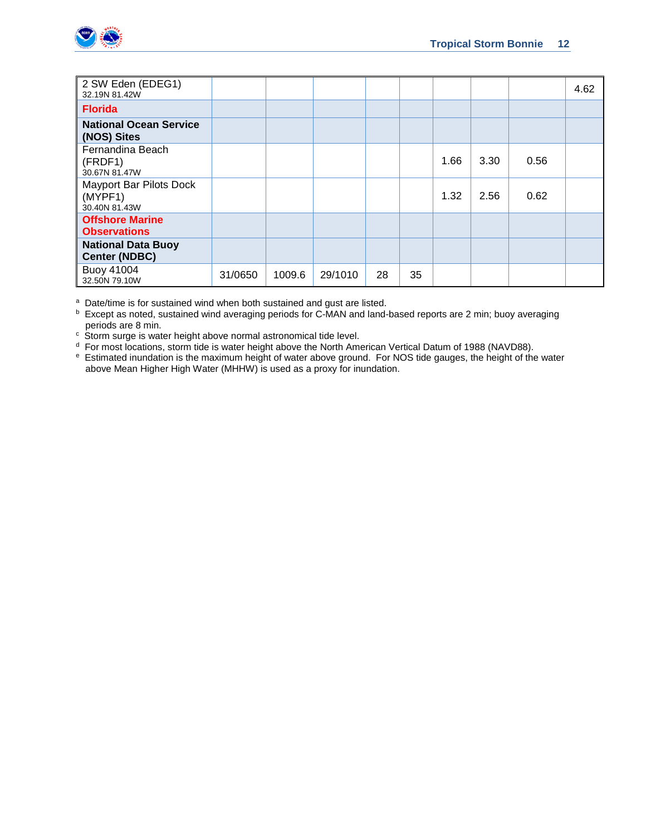

| 2 SW Eden (EDEG1)<br>32.19N 81.42W                  |         |        |         |    |    |      |      |      | 4.62 |
|-----------------------------------------------------|---------|--------|---------|----|----|------|------|------|------|
| <b>Florida</b>                                      |         |        |         |    |    |      |      |      |      |
| <b>National Ocean Service</b><br>(NOS) Sites        |         |        |         |    |    |      |      |      |      |
| Fernandina Beach<br>(FRDF1)<br>30.67N 81.47W        |         |        |         |    |    | 1.66 | 3.30 | 0.56 |      |
| Mayport Bar Pilots Dock<br>(MYPF1)<br>30.40N 81.43W |         |        |         |    |    | 1.32 | 2.56 | 0.62 |      |
| <b>Offshore Marine</b><br><b>Observations</b>       |         |        |         |    |    |      |      |      |      |
| <b>National Data Buoy</b><br><b>Center (NDBC)</b>   |         |        |         |    |    |      |      |      |      |
| Buoy 41004<br>32.50N 79.10W                         | 31/0650 | 1009.6 | 29/1010 | 28 | 35 |      |      |      |      |

a Date/time is for sustained wind when both sustained and gust are listed.

b Except as noted, sustained wind averaging periods for C-MAN and land-based reports are 2 min; buoy averaging periods are 8 min.

c Storm surge is water height above normal astronomical tide level.

<sup>d</sup> For most locations, storm tide is water height above the North American Vertical Datum of 1988 (NAVD88).<br><sup>e</sup> Estimated inundation is the maximum height of water above ground. For NOS tide gauges, the height of the wat above Mean Higher High Water (MHHW) is used as a proxy for inundation.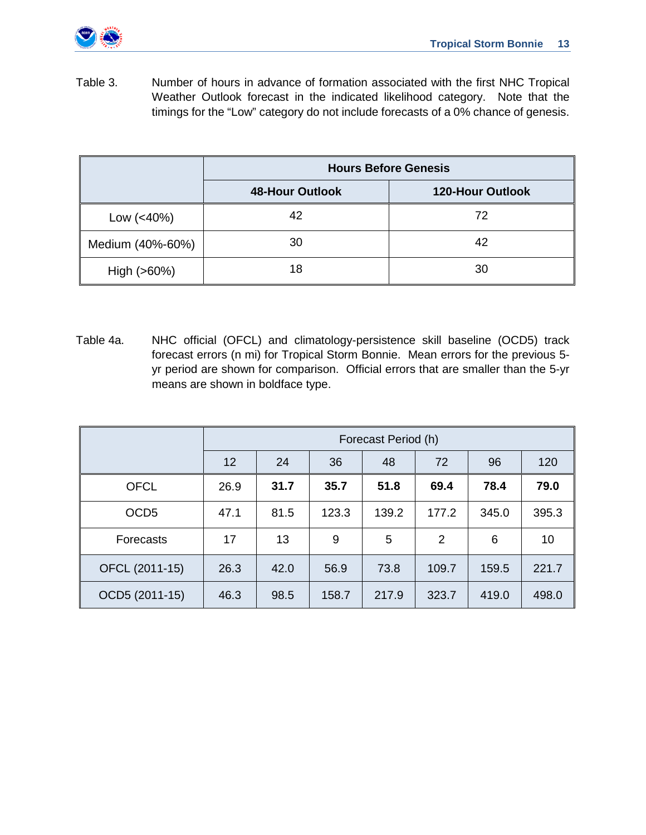

Table 3. Number of hours in advance of formation associated with the first NHC Tropical Weather Outlook forecast in the indicated likelihood category. Note that the timings for the "Low" category do not include forecasts of a 0% chance of genesis.

|                  |                        | <b>Hours Before Genesis</b> |
|------------------|------------------------|-----------------------------|
|                  | <b>48-Hour Outlook</b> | <b>120-Hour Outlook</b>     |
| Low $(< 40\%)$   | 42                     | 72                          |
| Medium (40%-60%) | 30                     | 42                          |
| High $(>60%)$    | 18                     | 30                          |

Table 4a. NHC official (OFCL) and climatology-persistence skill baseline (OCD5) track forecast errors (n mi) for Tropical Storm Bonnie. Mean errors for the previous 5 yr period are shown for comparison. Official errors that are smaller than the 5-yr means are shown in boldface type.

|                  |                   | Forecast Period (h) |       |       |       |       |       |  |  |  |
|------------------|-------------------|---------------------|-------|-------|-------|-------|-------|--|--|--|
|                  | $12 \overline{ }$ | 24                  | 36    | 48    | 72    | 96    | 120   |  |  |  |
| <b>OFCL</b>      | 26.9              | 31.7                | 35.7  | 51.8  | 69.4  | 78.4  | 79.0  |  |  |  |
| OCD <sub>5</sub> | 47.1              | 81.5                | 123.3 | 139.2 | 177.2 | 345.0 | 395.3 |  |  |  |
| Forecasts        | 17                | 13                  | 9     | 5     | 2     | 6     | 10    |  |  |  |
| OFCL (2011-15)   | 26.3              | 42.0                | 56.9  | 73.8  | 109.7 | 159.5 | 221.7 |  |  |  |
| OCD5 (2011-15)   | 46.3              | 98.5                | 158.7 | 217.9 | 323.7 | 419.0 | 498.0 |  |  |  |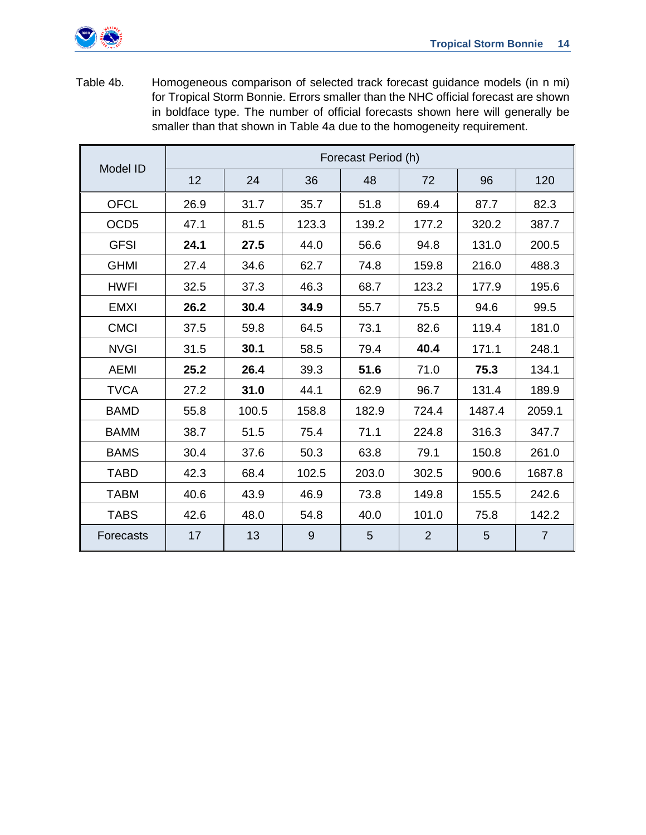

Table 4b. Homogeneous comparison of selected track forecast guidance models (in n mi) for Tropical Storm Bonnie. Errors smaller than the NHC official forecast are shown in boldface type. The number of official forecasts shown here will generally be smaller than that shown in Table 4a due to the homogeneity requirement.

|                  |      |       |       | Forecast Period (h) |                |        |                |
|------------------|------|-------|-------|---------------------|----------------|--------|----------------|
| Model ID         | 12   | 24    | 36    | 48                  | 72             | 96     | 120            |
| <b>OFCL</b>      | 26.9 | 31.7  | 35.7  | 51.8                | 69.4           | 87.7   | 82.3           |
| OCD <sub>5</sub> | 47.1 | 81.5  | 123.3 | 139.2               | 177.2          | 320.2  | 387.7          |
| <b>GFSI</b>      | 24.1 | 27.5  | 44.0  | 56.6                | 94.8           | 131.0  | 200.5          |
| <b>GHMI</b>      | 27.4 | 34.6  | 62.7  | 74.8                | 159.8          | 216.0  | 488.3          |
| <b>HWFI</b>      | 32.5 | 37.3  | 46.3  | 68.7                | 123.2          | 177.9  | 195.6          |
| <b>EMXI</b>      | 26.2 | 30.4  | 34.9  | 55.7                | 75.5           | 94.6   | 99.5           |
| <b>CMCI</b>      | 37.5 | 59.8  | 64.5  | 73.1                | 82.6           | 119.4  | 181.0          |
| <b>NVGI</b>      | 31.5 | 30.1  | 58.5  | 79.4                | 40.4           | 171.1  | 248.1          |
| <b>AEMI</b>      | 25.2 | 26.4  | 39.3  | 51.6                | 71.0           | 75.3   | 134.1          |
| <b>TVCA</b>      | 27.2 | 31.0  | 44.1  | 62.9                | 96.7           | 131.4  | 189.9          |
| <b>BAMD</b>      | 55.8 | 100.5 | 158.8 | 182.9               | 724.4          | 1487.4 | 2059.1         |
| <b>BAMM</b>      | 38.7 | 51.5  | 75.4  | 71.1                | 224.8          | 316.3  | 347.7          |
| <b>BAMS</b>      | 30.4 | 37.6  | 50.3  | 63.8                | 79.1           | 150.8  | 261.0          |
| <b>TABD</b>      | 42.3 | 68.4  | 102.5 | 203.0               | 302.5          | 900.6  | 1687.8         |
| <b>TABM</b>      | 40.6 | 43.9  | 46.9  | 73.8                | 149.8          | 155.5  | 242.6          |
| <b>TABS</b>      | 42.6 | 48.0  | 54.8  | 40.0                | 101.0          | 75.8   | 142.2          |
| Forecasts        | 17   | 13    | 9     | 5                   | $\overline{2}$ | 5      | $\overline{7}$ |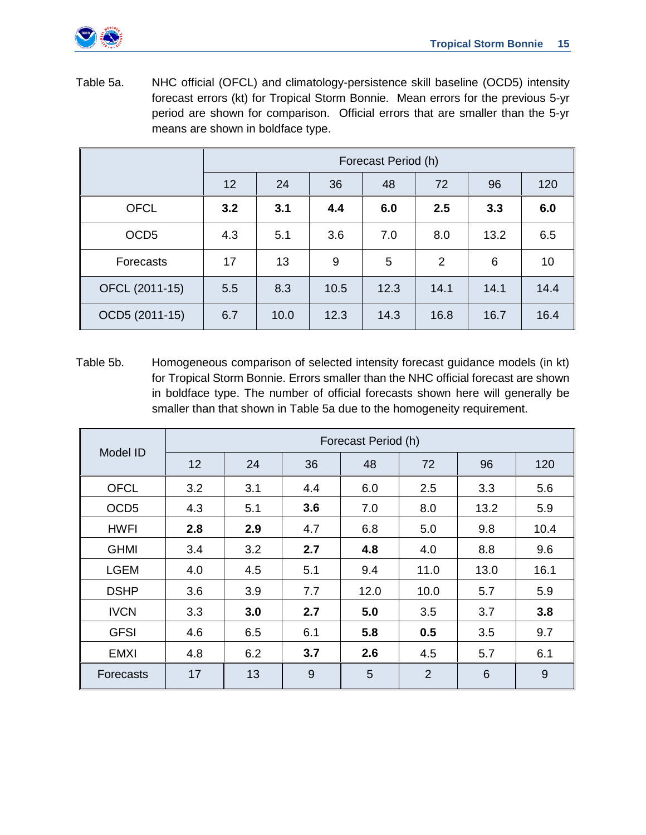

Table 5a. NHC official (OFCL) and climatology-persistence skill baseline (OCD5) intensity forecast errors (kt) for Tropical Storm Bonnie. Mean errors for the previous 5-yr period are shown for comparison. Official errors that are smaller than the 5-yr means are shown in boldface type.

|                  |     | Forecast Period (h) |      |      |      |      |      |  |  |  |
|------------------|-----|---------------------|------|------|------|------|------|--|--|--|
|                  | 12  | 24                  | 36   | 48   | 72   | 96   | 120  |  |  |  |
| <b>OFCL</b>      | 3.2 | 3.1                 | 4.4  | 6.0  | 2.5  | 3.3  | 6.0  |  |  |  |
| OCD <sub>5</sub> | 4.3 | 5.1                 | 3.6  | 7.0  | 8.0  | 13.2 | 6.5  |  |  |  |
| Forecasts        | 17  | 13                  | 9    | 5    | 2    | 6    | 10   |  |  |  |
| OFCL (2011-15)   | 5.5 | 8.3                 | 10.5 | 12.3 | 14.1 | 14.1 | 14.4 |  |  |  |
| OCD5 (2011-15)   | 6.7 | 10.0                | 12.3 | 14.3 | 16.8 | 16.7 | 16.4 |  |  |  |

Table 5b. Homogeneous comparison of selected intensity forecast guidance models (in kt) for Tropical Storm Bonnie. Errors smaller than the NHC official forecast are shown in boldface type. The number of official forecasts shown here will generally be smaller than that shown in Table 5a due to the homogeneity requirement.

|                  |     |     |     | Forecast Period (h) |                |      |      |
|------------------|-----|-----|-----|---------------------|----------------|------|------|
| Model ID         | 12  | 24  | 36  | 48                  | 72             | 96   | 120  |
| <b>OFCL</b>      | 3.2 | 3.1 | 4.4 | 6.0                 | 2.5            | 3.3  | 5.6  |
| OCD <sub>5</sub> | 4.3 | 5.1 | 3.6 | 7.0                 | 8.0            | 13.2 | 5.9  |
| <b>HWFI</b>      | 2.8 | 2.9 | 4.7 | 6.8                 | 5.0            | 9.8  | 10.4 |
| <b>GHMI</b>      | 3.4 | 3.2 | 2.7 | 4.8                 | 4.0            | 8.8  | 9.6  |
| <b>LGEM</b>      | 4.0 | 4.5 | 5.1 | 9.4                 | 11.0           | 13.0 | 16.1 |
| <b>DSHP</b>      | 3.6 | 3.9 | 7.7 | 12.0                | 10.0           | 5.7  | 5.9  |
| <b>IVCN</b>      | 3.3 | 3.0 | 2.7 | 5.0                 | 3.5            | 3.7  | 3.8  |
| <b>GFSI</b>      | 4.6 | 6.5 | 6.1 | 5.8                 | 0.5            | 3.5  | 9.7  |
| <b>EMXI</b>      | 4.8 | 6.2 | 3.7 | 2.6                 | 4.5            | 5.7  | 6.1  |
| Forecasts        | 17  | 13  | 9   | 5                   | $\overline{2}$ | 6    | 9    |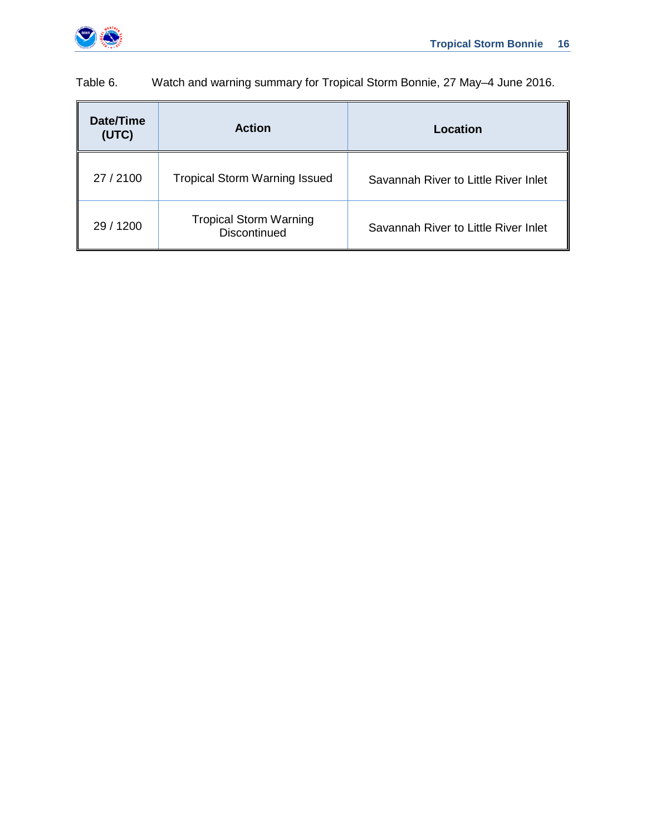

Savannah River to Little River Inlet

| Date/Time<br>(UTC) | <b>Action</b>                        | Location                             |
|--------------------|--------------------------------------|--------------------------------------|
| 27 / 2100          | <b>Tropical Storm Warning Issued</b> | Savannah River to Little River Inlet |

29 / 1200 Tropical Storm Warning<br>Discontinued

Table 6. Watch and warning summary for Tropical Storm Bonnie, 27 May–4 June 2016.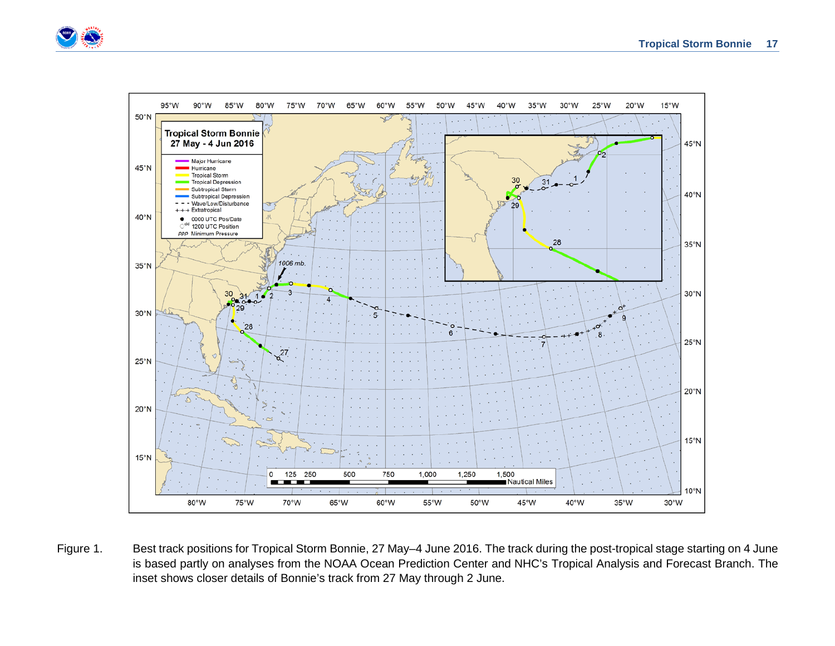



Figure 1. Best track positions for Tropical Storm Bonnie, 27 May–4 June 2016. The track during the post-tropical stage starting on 4 June is based partly on analyses from the NOAA Ocean Prediction Center and NHC's Tropical Analysis and Forecast Branch. The inset shows closer details of Bonnie's track from 27 May through 2 June.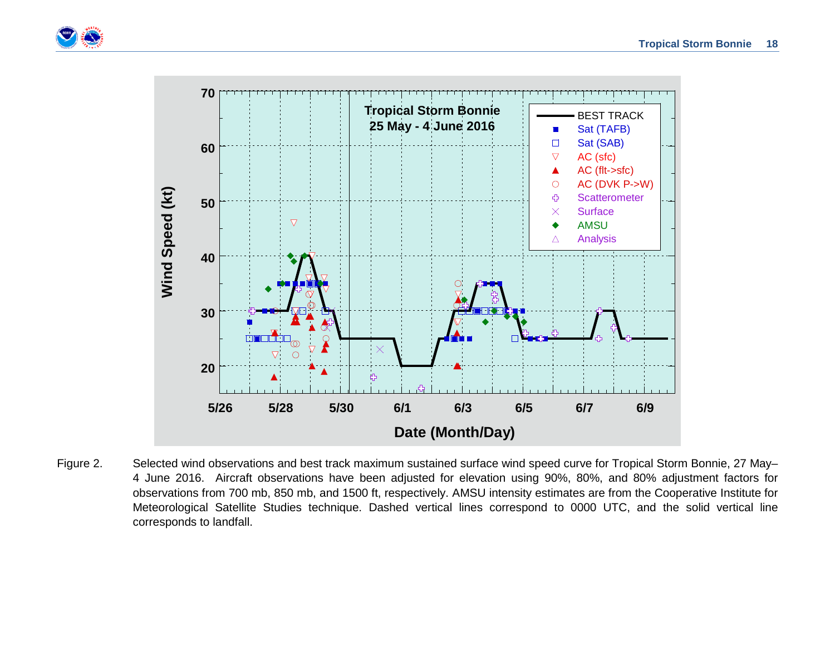



Figure 2. Selected wind observations and best track maximum sustained surface wind speed curve for Tropical Storm Bonnie, 27 May– 4 June 2016. Aircraft observations have been adjusted for elevation using 90%, 80%, and 80% adjustment factors for observations from 700 mb, 850 mb, and 1500 ft, respectively. AMSU intensity estimates are from the Cooperative Institute for Meteorological Satellite Studies technique. Dashed vertical lines correspond to 0000 UTC, and the solid vertical line corresponds to landfall.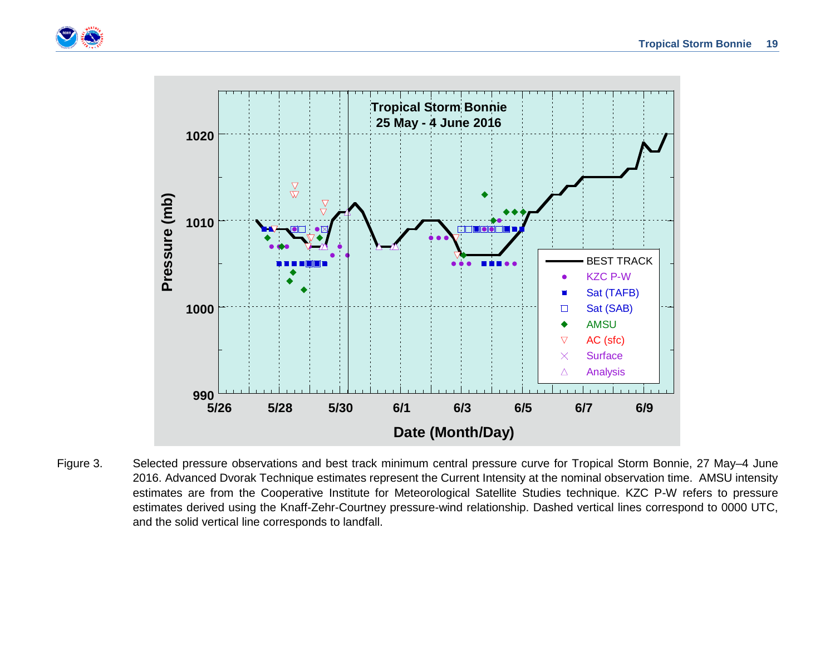



Figure 3. Selected pressure observations and best track minimum central pressure curve for Tropical Storm Bonnie, 27 May–4 June 2016. Advanced Dvorak Technique estimates represent the Current Intensity at the nominal observation time. AMSU intensity estimates are from the Cooperative Institute for Meteorological Satellite Studies technique. KZC P-W refers to pressure estimates derived using the Knaff-Zehr-Courtney pressure-wind relationship. Dashed vertical lines correspond to 0000 UTC, and the solid vertical line corresponds to landfall.